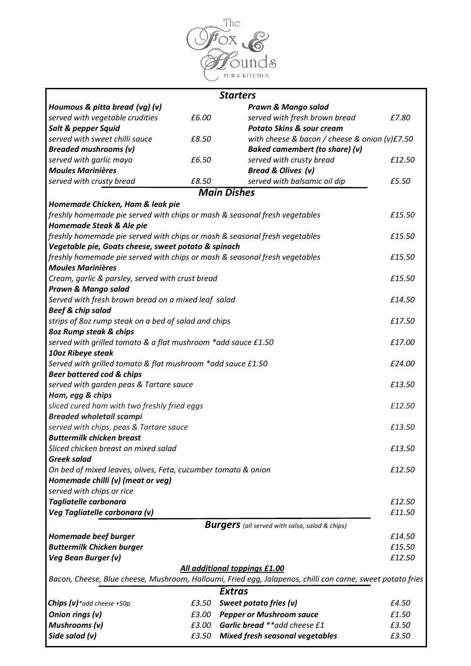

|                                                                            |       | <b>Starters</b>                                                                                            |        |  |
|----------------------------------------------------------------------------|-------|------------------------------------------------------------------------------------------------------------|--------|--|
| Houmous & pitta bread (vg) (v)                                             |       | Prawn & Mango salad                                                                                        |        |  |
| served with vegetable crudities                                            | £6.00 | served with fresh brown bread                                                                              | £7.80  |  |
| Salt & pepper Squid                                                        |       | <b>Potato Skins &amp; sour cream</b>                                                                       |        |  |
| served with sweet chilli sauce                                             | £8.50 | with cheese & bacon / cheese & onion (v)£7.50                                                              |        |  |
| <b>Breaded mushrooms (v)</b>                                               |       | <b>Baked camembert (to share) (v)</b>                                                                      |        |  |
| served with garlic mayo                                                    | £6.50 | served with crusty bread                                                                                   | £12.50 |  |
| <b>Moules Marinières</b>                                                   |       | <b>Bread &amp; Olives (v)</b>                                                                              |        |  |
| served with crusty bread                                                   | £8.50 | served with balsamic oil dip                                                                               | £5.50  |  |
|                                                                            |       | <b>Main Dishes</b>                                                                                         |        |  |
| Homemade Chicken, Ham & leak pie                                           |       |                                                                                                            |        |  |
| freshly homemade pie served with chips or mash & seasonal fresh vegetables |       |                                                                                                            | £15.50 |  |
| Homemade Steak & Ale pie                                                   |       |                                                                                                            |        |  |
| freshly homemade pie served with chips or mash & seasonal fresh vegetables |       |                                                                                                            | £15.50 |  |
| Vegetable pie, Goats cheese, sweet potato & spinach                        |       |                                                                                                            |        |  |
| freshly homemade pie served with chips or mash & seasonal fresh vegetables |       |                                                                                                            |        |  |
| <b>Moules Marinières</b>                                                   |       |                                                                                                            |        |  |
| Cream, garlic & parsley, served with crust bread                           |       |                                                                                                            | £15.50 |  |
| Prawn & Mango salad                                                        |       |                                                                                                            |        |  |
| Served with fresh brown bread on a mixed leaf salad                        |       |                                                                                                            |        |  |
| <b>Beef &amp; chip salad</b>                                               |       |                                                                                                            |        |  |
| strips of 8oz rump steak on a bed of salad and chips                       |       |                                                                                                            | £17.50 |  |
| 80z Rump steak & chips                                                     |       |                                                                                                            |        |  |
| served with grilled tomato & a flat mushroom *add sauce £1.50              |       |                                                                                                            |        |  |
| 10oz Ribeye steak                                                          |       |                                                                                                            |        |  |
| Served with grilled tomato & flat mushroom *add sauce £1.50                |       |                                                                                                            |        |  |
| <b>Beer battered cod &amp; chips</b>                                       |       |                                                                                                            |        |  |
| served with garden peas & Tartare sauce                                    |       |                                                                                                            |        |  |
| Ham, egg & chips                                                           |       |                                                                                                            |        |  |
| sliced cured ham with two freshly fried eggs                               |       |                                                                                                            | £12.50 |  |
| <b>Breaded wholetail scampi</b>                                            |       |                                                                                                            |        |  |
| served with chips, peas & Tartare sauce                                    |       |                                                                                                            | £13.50 |  |
| <b>Buttermilk chicken breast</b>                                           |       |                                                                                                            |        |  |
| Sliced chicken breast on mixed salad                                       |       |                                                                                                            | £13.50 |  |
| <b>Greek salad</b>                                                         |       |                                                                                                            |        |  |
| On bed of mixed leaves, olives, Feta, cucumber tomato & onion              |       |                                                                                                            | £12.50 |  |
| Homemade chilli (v) (meat or veg)                                          |       |                                                                                                            |        |  |
| served with chips or rice                                                  |       |                                                                                                            |        |  |
| Tagliatelle carbonara                                                      |       |                                                                                                            | £12.50 |  |
| Veg Tagliatelle carbonara (v)                                              |       |                                                                                                            | £11.50 |  |
|                                                                            |       | <b>Burgers</b> (all served with salsa, salad & chips)                                                      |        |  |
| Homemade beef burger                                                       |       |                                                                                                            | £14.50 |  |
| <b>Buttermilk Chicken burger</b>                                           |       |                                                                                                            |        |  |
| Veg Bean Burger (v)                                                        |       |                                                                                                            | £12.50 |  |
|                                                                            |       | All additional toppings £1.00                                                                              |        |  |
|                                                                            |       | Bacon, Cheese, Blue cheese, Mushroom, Halloumi, Fried egg, Jalapenos, chilli con carne, sweet potato fries |        |  |
|                                                                            |       | <b>Extras</b>                                                                                              |        |  |
| <b>Chips (v)</b> *add cheese +50p                                          | £3.50 | Sweet potato fries (v)                                                                                     | £4.50  |  |
|                                                                            |       |                                                                                                            |        |  |
| Onion rings (v)                                                            |       | £3.00 Pepper or Mushroom sauce                                                                             | £1.50  |  |
| Mushrooms (v)                                                              | £3.00 | Garlic bread ** add cheese £1                                                                              | £3.50  |  |
| Side salad (v)                                                             | £3.50 | <b>Mixed fresh seasonal vegetables</b>                                                                     | £3.50  |  |